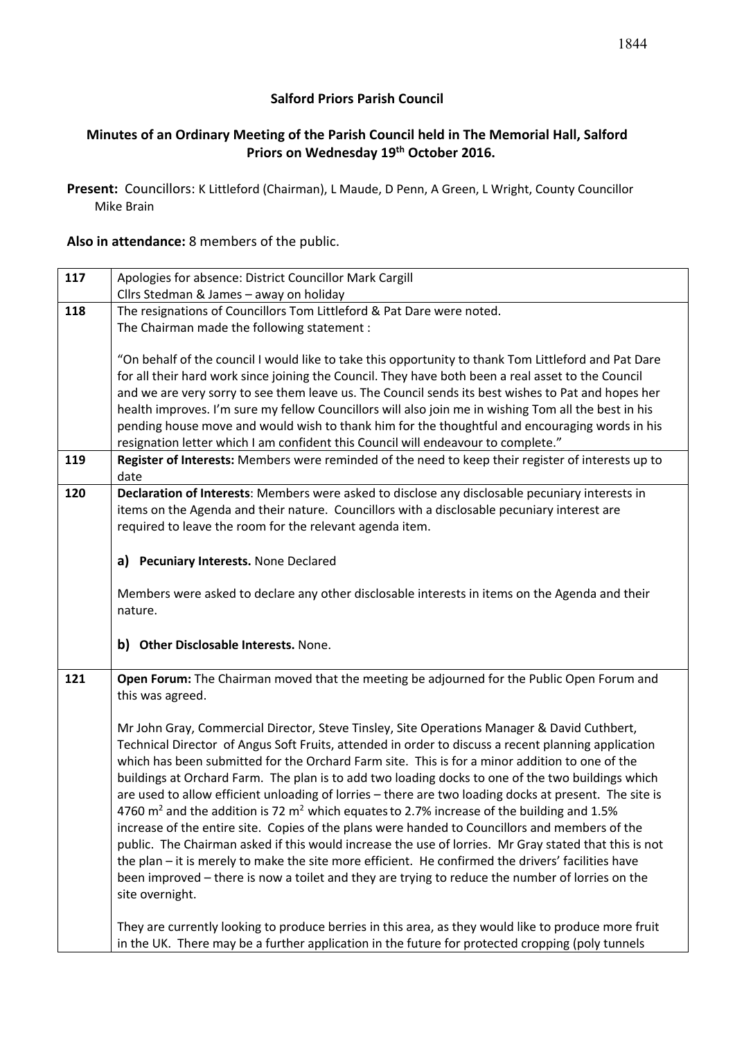### **Salford Priors Parish Council**

# **Minutes of an Ordinary Meeting of the Parish Council held in The Memorial Hall, Salford Priors on Wednesday 19th October 2016.**

**Present:** Councillors: K Littleford (Chairman), L Maude, D Penn, A Green, L Wright, County Councillor Mike Brain

**Also in attendance:** 8 members of the public.

| 117 | Apologies for absence: District Councillor Mark Cargill                                                                                                                                                  |  |  |  |  |
|-----|----------------------------------------------------------------------------------------------------------------------------------------------------------------------------------------------------------|--|--|--|--|
|     | Cllrs Stedman & James - away on holiday                                                                                                                                                                  |  |  |  |  |
| 118 | The resignations of Councillors Tom Littleford & Pat Dare were noted.                                                                                                                                    |  |  |  |  |
|     | The Chairman made the following statement :                                                                                                                                                              |  |  |  |  |
|     |                                                                                                                                                                                                          |  |  |  |  |
|     | "On behalf of the council I would like to take this opportunity to thank Tom Littleford and Pat Dare                                                                                                     |  |  |  |  |
|     | for all their hard work since joining the Council. They have both been a real asset to the Council<br>and we are very sorry to see them leave us. The Council sends its best wishes to Pat and hopes her |  |  |  |  |
|     | health improves. I'm sure my fellow Councillors will also join me in wishing Tom all the best in his                                                                                                     |  |  |  |  |
|     | pending house move and would wish to thank him for the thoughtful and encouraging words in his                                                                                                           |  |  |  |  |
|     | resignation letter which I am confident this Council will endeavour to complete."                                                                                                                        |  |  |  |  |
| 119 | Register of Interests: Members were reminded of the need to keep their register of interests up to                                                                                                       |  |  |  |  |
|     | date                                                                                                                                                                                                     |  |  |  |  |
| 120 | Declaration of Interests: Members were asked to disclose any disclosable pecuniary interests in                                                                                                          |  |  |  |  |
|     | items on the Agenda and their nature. Councillors with a disclosable pecuniary interest are                                                                                                              |  |  |  |  |
|     | required to leave the room for the relevant agenda item.                                                                                                                                                 |  |  |  |  |
|     |                                                                                                                                                                                                          |  |  |  |  |
|     | a) Pecuniary Interests. None Declared                                                                                                                                                                    |  |  |  |  |
|     |                                                                                                                                                                                                          |  |  |  |  |
|     | Members were asked to declare any other disclosable interests in items on the Agenda and their                                                                                                           |  |  |  |  |
|     | nature.                                                                                                                                                                                                  |  |  |  |  |
|     |                                                                                                                                                                                                          |  |  |  |  |
|     | b) Other Disclosable Interests. None.                                                                                                                                                                    |  |  |  |  |
| 121 | Open Forum: The Chairman moved that the meeting be adjourned for the Public Open Forum and                                                                                                               |  |  |  |  |
|     | this was agreed.                                                                                                                                                                                         |  |  |  |  |
|     |                                                                                                                                                                                                          |  |  |  |  |
|     | Mr John Gray, Commercial Director, Steve Tinsley, Site Operations Manager & David Cuthbert,                                                                                                              |  |  |  |  |
|     | Technical Director of Angus Soft Fruits, attended in order to discuss a recent planning application                                                                                                      |  |  |  |  |
|     | which has been submitted for the Orchard Farm site. This is for a minor addition to one of the                                                                                                           |  |  |  |  |
|     | buildings at Orchard Farm. The plan is to add two loading docks to one of the two buildings which                                                                                                        |  |  |  |  |
|     | are used to allow efficient unloading of lorries - there are two loading docks at present. The site is                                                                                                   |  |  |  |  |
|     | 4760 $m2$ and the addition is 72 $m2$ which equates to 2.7% increase of the building and 1.5%                                                                                                            |  |  |  |  |
|     | increase of the entire site. Copies of the plans were handed to Councillors and members of the                                                                                                           |  |  |  |  |
|     | public. The Chairman asked if this would increase the use of lorries. Mr Gray stated that this is not                                                                                                    |  |  |  |  |
|     | the plan - it is merely to make the site more efficient. He confirmed the drivers' facilities have                                                                                                       |  |  |  |  |
|     | been improved - there is now a toilet and they are trying to reduce the number of lorries on the                                                                                                         |  |  |  |  |
|     | site overnight.                                                                                                                                                                                          |  |  |  |  |
|     |                                                                                                                                                                                                          |  |  |  |  |
|     | They are currently looking to produce berries in this area, as they would like to produce more fruit                                                                                                     |  |  |  |  |
|     | in the UK. There may be a further application in the future for protected cropping (poly tunnels                                                                                                         |  |  |  |  |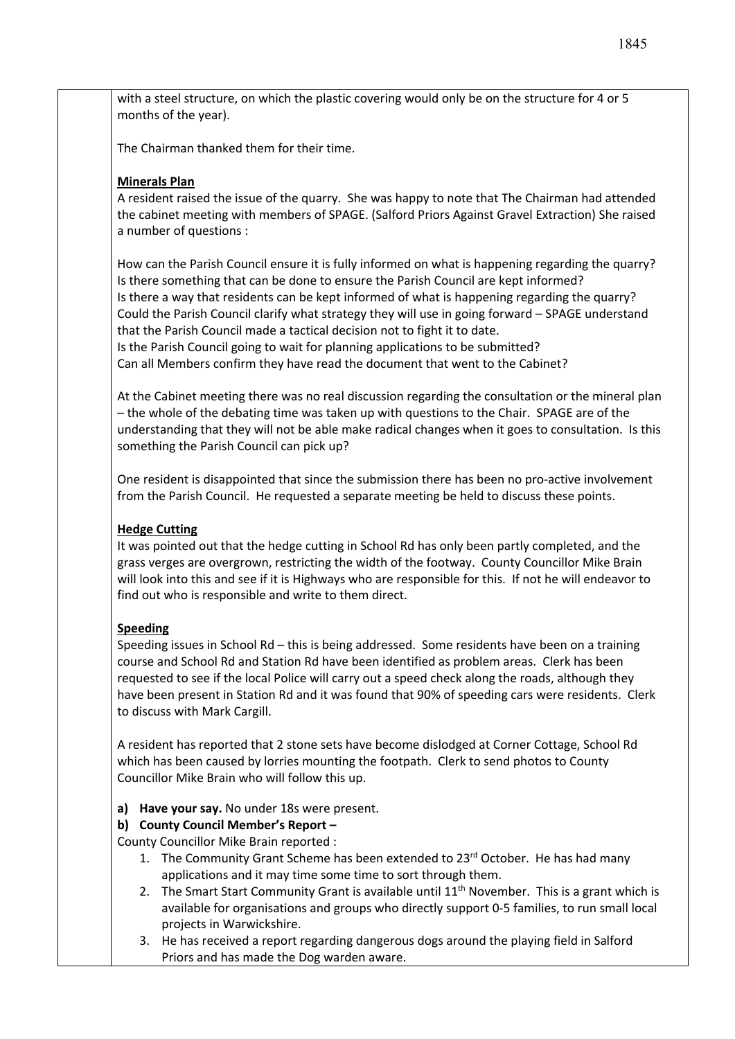with a steel structure, on which the plastic covering would only be on the structure for 4 or 5 months of the year).

The Chairman thanked them for their time.

### **Minerals Plan**

A resident raised the issue of the quarry. She was happy to note that The Chairman had attended the cabinet meeting with members of SPAGE. (Salford Priors Against Gravel Extraction) She raised a number of questions :

How can the Parish Council ensure it is fully informed on what is happening regarding the quarry? Is there something that can be done to ensure the Parish Council are kept informed? Is there a way that residents can be kept informed of what is happening regarding the quarry? Could the Parish Council clarify what strategy they will use in going forward – SPAGE understand that the Parish Council made a tactical decision not to fight it to date. Is the Parish Council going to wait for planning applications to be submitted? Can all Members confirm they have read the document that went to the Cabinet?

At the Cabinet meeting there was no real discussion regarding the consultation or the mineral plan – the whole of the debating time was taken up with questions to the Chair. SPAGE are of the understanding that they will not be able make radical changes when it goes to consultation. Is this something the Parish Council can pick up?

One resident is disappointed that since the submission there has been no pro-active involvement from the Parish Council. He requested a separate meeting be held to discuss these points.

#### **Hedge Cutting**

It was pointed out that the hedge cutting in School Rd has only been partly completed, and the grass verges are overgrown, restricting the width of the footway. County Councillor Mike Brain will look into this and see if it is Highways who are responsible for this. If not he will endeavor to find out who is responsible and write to them direct.

#### **Speeding**

Speeding issues in School Rd – this is being addressed. Some residents have been on a training course and School Rd and Station Rd have been identified as problem areas. Clerk has been requested to see if the local Police will carry out a speed check along the roads, although they have been present in Station Rd and it was found that 90% of speeding cars were residents. Clerk to discuss with Mark Cargill.

A resident has reported that 2 stone sets have become dislodged at Corner Cottage, School Rd which has been caused by lorries mounting the footpath. Clerk to send photos to County Councillor Mike Brain who will follow this up.

**a) Have your say.** No under 18s were present.

#### **b) County Council Member's Report –**

County Councillor Mike Brain reported :

- 1. The Community Grant Scheme has been extended to  $23<sup>rd</sup>$  October. He has had many applications and it may time some time to sort through them.
- 2. The Smart Start Community Grant is available until  $11<sup>th</sup>$  November. This is a grant which is available for organisations and groups who directly support 0-5 families, to run small local projects in Warwickshire.
- 3. He has received a report regarding dangerous dogs around the playing field in Salford Priors and has made the Dog warden aware.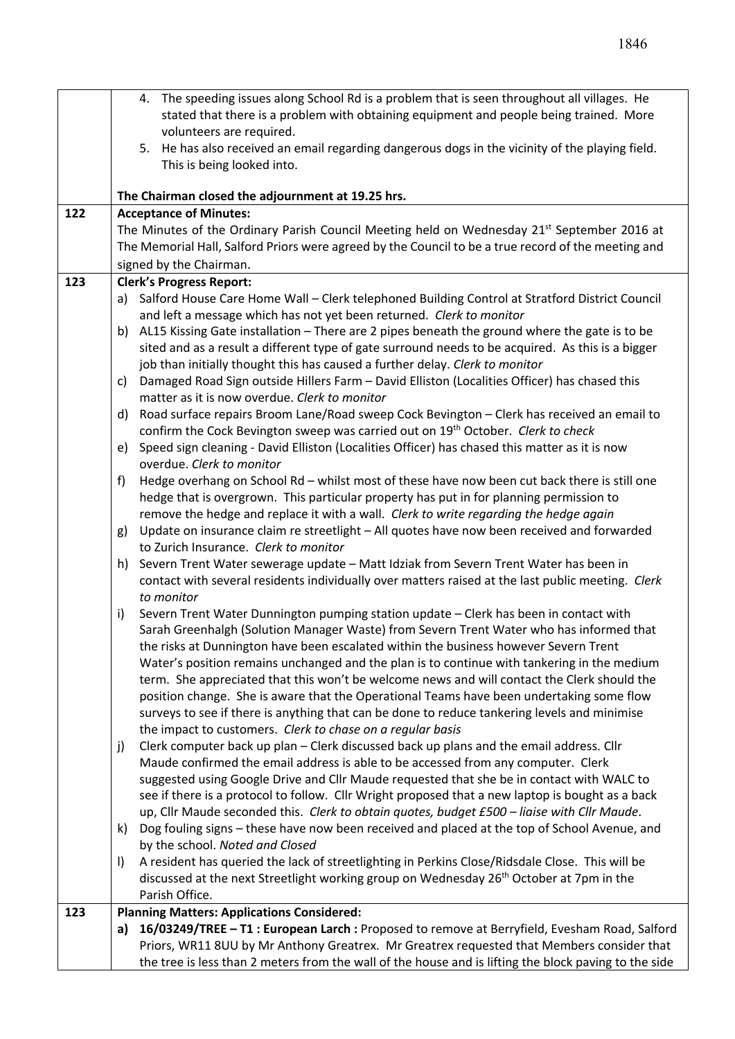|     | 4. The speeding issues along School Rd is a problem that is seen throughout all villages. He                                                                                                                      |  |  |  |  |
|-----|-------------------------------------------------------------------------------------------------------------------------------------------------------------------------------------------------------------------|--|--|--|--|
|     | stated that there is a problem with obtaining equipment and people being trained. More<br>volunteers are required.                                                                                                |  |  |  |  |
|     | 5. He has also received an email regarding dangerous dogs in the vicinity of the playing field.                                                                                                                   |  |  |  |  |
|     | This is being looked into.                                                                                                                                                                                        |  |  |  |  |
|     |                                                                                                                                                                                                                   |  |  |  |  |
|     | The Chairman closed the adjournment at 19.25 hrs.                                                                                                                                                                 |  |  |  |  |
| 122 | <b>Acceptance of Minutes:</b>                                                                                                                                                                                     |  |  |  |  |
|     | The Minutes of the Ordinary Parish Council Meeting held on Wednesday 21 <sup>st</sup> September 2016 at                                                                                                           |  |  |  |  |
|     | The Memorial Hall, Salford Priors were agreed by the Council to be a true record of the meeting and                                                                                                               |  |  |  |  |
|     | signed by the Chairman.                                                                                                                                                                                           |  |  |  |  |
| 123 | <b>Clerk's Progress Report:</b>                                                                                                                                                                                   |  |  |  |  |
|     | a) Salford House Care Home Wall - Clerk telephoned Building Control at Stratford District Council<br>and left a message which has not yet been returned. Clerk to monitor                                         |  |  |  |  |
|     | b) AL15 Kissing Gate installation - There are 2 pipes beneath the ground where the gate is to be                                                                                                                  |  |  |  |  |
|     | sited and as a result a different type of gate surround needs to be acquired. As this is a bigger                                                                                                                 |  |  |  |  |
|     | job than initially thought this has caused a further delay. Clerk to monitor                                                                                                                                      |  |  |  |  |
|     | Damaged Road Sign outside Hillers Farm - David Elliston (Localities Officer) has chased this<br>C)                                                                                                                |  |  |  |  |
|     | matter as it is now overdue. Clerk to monitor                                                                                                                                                                     |  |  |  |  |
|     | Road surface repairs Broom Lane/Road sweep Cock Bevington - Clerk has received an email to<br>d)                                                                                                                  |  |  |  |  |
|     | confirm the Cock Bevington sweep was carried out on 19 <sup>th</sup> October. Clerk to check                                                                                                                      |  |  |  |  |
|     | Speed sign cleaning - David Elliston (Localities Officer) has chased this matter as it is now<br>e)                                                                                                               |  |  |  |  |
|     | overdue. Clerk to monitor                                                                                                                                                                                         |  |  |  |  |
|     | Hedge overhang on School Rd - whilst most of these have now been cut back there is still one<br>f)                                                                                                                |  |  |  |  |
|     | hedge that is overgrown. This particular property has put in for planning permission to<br>remove the hedge and replace it with a wall. Clerk to write regarding the hedge again                                  |  |  |  |  |
|     | Update on insurance claim re streetlight - All quotes have now been received and forwarded<br>g)                                                                                                                  |  |  |  |  |
|     | to Zurich Insurance. Clerk to monitor                                                                                                                                                                             |  |  |  |  |
|     | h) Severn Trent Water sewerage update - Matt Idziak from Severn Trent Water has been in                                                                                                                           |  |  |  |  |
|     | contact with several residents individually over matters raised at the last public meeting. Clerk                                                                                                                 |  |  |  |  |
|     | to monitor                                                                                                                                                                                                        |  |  |  |  |
|     | Severn Trent Water Dunnington pumping station update - Clerk has been in contact with<br>i)                                                                                                                       |  |  |  |  |
|     | Sarah Greenhalgh (Solution Manager Waste) from Severn Trent Water who has informed that                                                                                                                           |  |  |  |  |
|     | the risks at Dunnington have been escalated within the business however Severn Trent                                                                                                                              |  |  |  |  |
|     | Water's position remains unchanged and the plan is to continue with tankering in the medium<br>term. She appreciated that this won't be welcome news and will contact the Clerk should the                        |  |  |  |  |
|     | position change. She is aware that the Operational Teams have been undertaking some flow                                                                                                                          |  |  |  |  |
|     | surveys to see if there is anything that can be done to reduce tankering levels and minimise                                                                                                                      |  |  |  |  |
|     | the impact to customers. Clerk to chase on a regular basis                                                                                                                                                        |  |  |  |  |
|     | Clerk computer back up plan - Clerk discussed back up plans and the email address. Cllr<br>j)                                                                                                                     |  |  |  |  |
|     | Maude confirmed the email address is able to be accessed from any computer. Clerk                                                                                                                                 |  |  |  |  |
|     | suggested using Google Drive and Cllr Maude requested that she be in contact with WALC to                                                                                                                         |  |  |  |  |
|     | see if there is a protocol to follow. Cllr Wright proposed that a new laptop is bought as a back                                                                                                                  |  |  |  |  |
|     | up, Cllr Maude seconded this. Clerk to obtain quotes, budget £500 - liaise with Cllr Maude.                                                                                                                       |  |  |  |  |
|     | Dog fouling signs - these have now been received and placed at the top of School Avenue, and<br>k)                                                                                                                |  |  |  |  |
|     | by the school. Noted and Closed                                                                                                                                                                                   |  |  |  |  |
|     | A resident has queried the lack of streetlighting in Perkins Close/Ridsdale Close. This will be<br>$\vert$<br>discussed at the next Streetlight working group on Wednesday 26 <sup>th</sup> October at 7pm in the |  |  |  |  |
|     | Parish Office.                                                                                                                                                                                                    |  |  |  |  |
| 123 | <b>Planning Matters: Applications Considered:</b>                                                                                                                                                                 |  |  |  |  |
|     | 16/03249/TREE - T1 : European Larch : Proposed to remove at Berryfield, Evesham Road, Salford<br>a)                                                                                                               |  |  |  |  |
|     | Priors, WR11 8UU by Mr Anthony Greatrex. Mr Greatrex requested that Members consider that                                                                                                                         |  |  |  |  |
|     | the tree is less than 2 meters from the wall of the house and is lifting the block paving to the side                                                                                                             |  |  |  |  |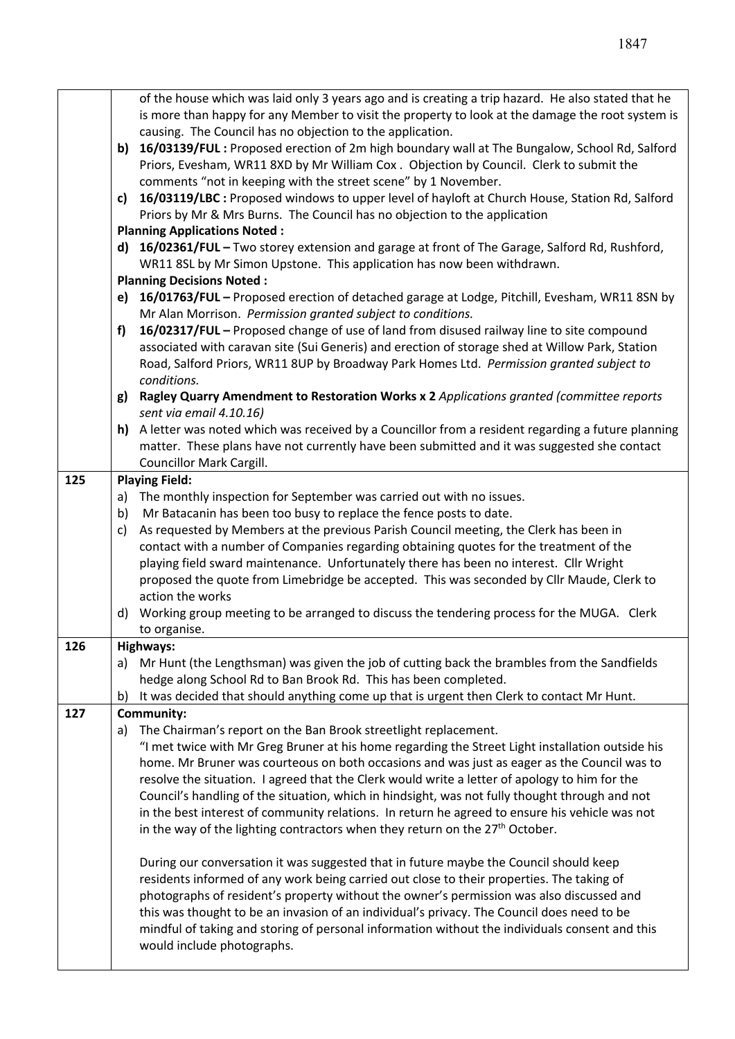|                                                                                                 | of the house which was laid only 3 years ago and is creating a trip hazard. He also stated that he<br>is more than happy for any Member to visit the property to look at the damage the root system is |                                                                                                              |  |  |  |  |
|-------------------------------------------------------------------------------------------------|--------------------------------------------------------------------------------------------------------------------------------------------------------------------------------------------------------|--------------------------------------------------------------------------------------------------------------|--|--|--|--|
|                                                                                                 | causing. The Council has no objection to the application.                                                                                                                                              |                                                                                                              |  |  |  |  |
|                                                                                                 | b)                                                                                                                                                                                                     | 16/03139/FUL: Proposed erection of 2m high boundary wall at The Bungalow, School Rd, Salford                 |  |  |  |  |
|                                                                                                 |                                                                                                                                                                                                        | Priors, Evesham, WR11 8XD by Mr William Cox. Objection by Council. Clerk to submit the                       |  |  |  |  |
|                                                                                                 |                                                                                                                                                                                                        | comments "not in keeping with the street scene" by 1 November.                                               |  |  |  |  |
|                                                                                                 |                                                                                                                                                                                                        | c) 16/03119/LBC : Proposed windows to upper level of hayloft at Church House, Station Rd, Salford            |  |  |  |  |
|                                                                                                 |                                                                                                                                                                                                        | Priors by Mr & Mrs Burns. The Council has no objection to the application                                    |  |  |  |  |
|                                                                                                 |                                                                                                                                                                                                        | <b>Planning Applications Noted:</b>                                                                          |  |  |  |  |
|                                                                                                 | d) 16/02361/FUL - Two storey extension and garage at front of The Garage, Salford Rd, Rushford,                                                                                                        |                                                                                                              |  |  |  |  |
|                                                                                                 |                                                                                                                                                                                                        | WR11 8SL by Mr Simon Upstone. This application has now been withdrawn.                                       |  |  |  |  |
|                                                                                                 |                                                                                                                                                                                                        | <b>Planning Decisions Noted:</b>                                                                             |  |  |  |  |
|                                                                                                 |                                                                                                                                                                                                        | e) 16/01763/FUL - Proposed erection of detached garage at Lodge, Pitchill, Evesham, WR11 8SN by              |  |  |  |  |
|                                                                                                 |                                                                                                                                                                                                        | Mr Alan Morrison. Permission granted subject to conditions.                                                  |  |  |  |  |
|                                                                                                 | f)                                                                                                                                                                                                     | 16/02317/FUL - Proposed change of use of land from disused railway line to site compound                     |  |  |  |  |
|                                                                                                 |                                                                                                                                                                                                        | associated with caravan site (Sui Generis) and erection of storage shed at Willow Park, Station              |  |  |  |  |
|                                                                                                 |                                                                                                                                                                                                        | Road, Salford Priors, WR11 8UP by Broadway Park Homes Ltd. Permission granted subject to                     |  |  |  |  |
|                                                                                                 |                                                                                                                                                                                                        | conditions.                                                                                                  |  |  |  |  |
|                                                                                                 | g)                                                                                                                                                                                                     | Ragley Quarry Amendment to Restoration Works x 2 Applications granted (committee reports                     |  |  |  |  |
|                                                                                                 |                                                                                                                                                                                                        | sent via email 4.10.16)                                                                                      |  |  |  |  |
|                                                                                                 |                                                                                                                                                                                                        | h) A letter was noted which was received by a Councillor from a resident regarding a future planning         |  |  |  |  |
|                                                                                                 |                                                                                                                                                                                                        | matter. These plans have not currently have been submitted and it was suggested she contact                  |  |  |  |  |
|                                                                                                 | Councillor Mark Cargill.                                                                                                                                                                               |                                                                                                              |  |  |  |  |
| 125                                                                                             |                                                                                                                                                                                                        | <b>Playing Field:</b>                                                                                        |  |  |  |  |
|                                                                                                 | a)                                                                                                                                                                                                     | The monthly inspection for September was carried out with no issues.                                         |  |  |  |  |
|                                                                                                 | b)                                                                                                                                                                                                     | Mr Batacanin has been too busy to replace the fence posts to date.                                           |  |  |  |  |
|                                                                                                 | c)                                                                                                                                                                                                     | As requested by Members at the previous Parish Council meeting, the Clerk has been in                        |  |  |  |  |
|                                                                                                 |                                                                                                                                                                                                        | contact with a number of Companies regarding obtaining quotes for the treatment of the                       |  |  |  |  |
|                                                                                                 |                                                                                                                                                                                                        | playing field sward maintenance. Unfortunately there has been no interest. Cllr Wright                       |  |  |  |  |
|                                                                                                 |                                                                                                                                                                                                        | proposed the quote from Limebridge be accepted. This was seconded by Cllr Maude, Clerk to                    |  |  |  |  |
|                                                                                                 |                                                                                                                                                                                                        | action the works                                                                                             |  |  |  |  |
|                                                                                                 |                                                                                                                                                                                                        | d) Working group meeting to be arranged to discuss the tendering process for the MUGA. Clerk<br>to organise. |  |  |  |  |
| 126                                                                                             |                                                                                                                                                                                                        | <b>Highways:</b>                                                                                             |  |  |  |  |
|                                                                                                 |                                                                                                                                                                                                        | a) Mr Hunt (the Lengthsman) was given the job of cutting back the brambles from the Sandfields               |  |  |  |  |
|                                                                                                 |                                                                                                                                                                                                        | hedge along School Rd to Ban Brook Rd. This has been completed.                                              |  |  |  |  |
| It was decided that should anything come up that is urgent then Clerk to contact Mr Hunt.<br>b) |                                                                                                                                                                                                        |                                                                                                              |  |  |  |  |
| 127                                                                                             |                                                                                                                                                                                                        | <b>Community:</b>                                                                                            |  |  |  |  |
|                                                                                                 | a)                                                                                                                                                                                                     | The Chairman's report on the Ban Brook streetlight replacement.                                              |  |  |  |  |
|                                                                                                 |                                                                                                                                                                                                        | "I met twice with Mr Greg Bruner at his home regarding the Street Light installation outside his             |  |  |  |  |
|                                                                                                 |                                                                                                                                                                                                        | home. Mr Bruner was courteous on both occasions and was just as eager as the Council was to                  |  |  |  |  |
|                                                                                                 |                                                                                                                                                                                                        | resolve the situation. I agreed that the Clerk would write a letter of apology to him for the                |  |  |  |  |
|                                                                                                 |                                                                                                                                                                                                        | Council's handling of the situation, which in hindsight, was not fully thought through and not               |  |  |  |  |
|                                                                                                 |                                                                                                                                                                                                        | in the best interest of community relations. In return he agreed to ensure his vehicle was not               |  |  |  |  |
|                                                                                                 |                                                                                                                                                                                                        | in the way of the lighting contractors when they return on the 27 <sup>th</sup> October.                     |  |  |  |  |
|                                                                                                 |                                                                                                                                                                                                        | During our conversation it was suggested that in future maybe the Council should keep                        |  |  |  |  |
|                                                                                                 |                                                                                                                                                                                                        | residents informed of any work being carried out close to their properties. The taking of                    |  |  |  |  |
|                                                                                                 | photographs of resident's property without the owner's permission was also discussed and                                                                                                               |                                                                                                              |  |  |  |  |
|                                                                                                 | this was thought to be an invasion of an individual's privacy. The Council does need to be                                                                                                             |                                                                                                              |  |  |  |  |
|                                                                                                 |                                                                                                                                                                                                        | mindful of taking and storing of personal information without the individuals consent and this               |  |  |  |  |
|                                                                                                 |                                                                                                                                                                                                        | would include photographs.                                                                                   |  |  |  |  |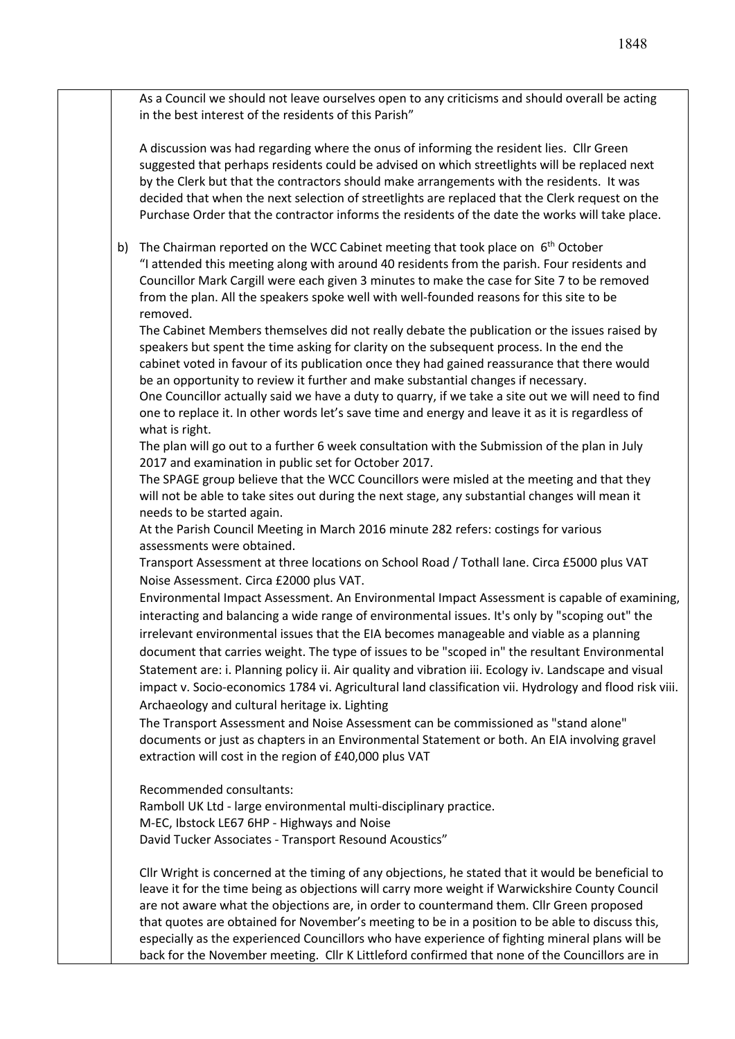As a Council we should not leave ourselves open to any criticisms and should overall be acting in the best interest of the residents of this Parish"

A discussion was had regarding where the onus of informing the resident lies. Cllr Green suggested that perhaps residents could be advised on which streetlights will be replaced next by the Clerk but that the contractors should make arrangements with the residents. It was decided that when the next selection of streetlights are replaced that the Clerk request on the Purchase Order that the contractor informs the residents of the date the works will take place.

b) The Chairman reported on the WCC Cabinet meeting that took place on  $6<sup>th</sup>$  October "I attended this meeting along with around 40 residents from the parish. Four residents and Councillor Mark Cargill were each given 3 minutes to make the case for Site 7 to be removed from the plan. All the speakers spoke well with well-founded reasons for this site to be removed.

The Cabinet Members themselves did not really debate the publication or the issues raised by speakers but spent the time asking for clarity on the subsequent process. In the end the cabinet voted in favour of its publication once they had gained reassurance that there would be an opportunity to review it further and make substantial changes if necessary.

One Councillor actually said we have a duty to quarry, if we take a site out we will need to find one to replace it. In other words let's save time and energy and leave it as it is regardless of what is right.

The plan will go out to a further 6 week consultation with the Submission of the plan in July 2017 and examination in public set for October 2017.

The SPAGE group believe that the WCC Councillors were misled at the meeting and that they will not be able to take sites out during the next stage, any substantial changes will mean it needs to be started again.

At the Parish Council Meeting in March 2016 minute 282 refers: costings for various assessments were obtained.

Transport Assessment at three locations on School Road / Tothall lane. Circa £5000 plus VAT Noise Assessment. Circa £2000 plus VAT.

Environmental Impact Assessment. An Environmental Impact Assessment is capable of examining, interacting and balancing a wide range of environmental issues. It's only by "scoping out" the irrelevant environmental issues that the EIA becomes manageable and viable as a planning document that carries weight. The type of issues to be "scoped in" the resultant Environmental Statement are: i. Planning policy ii. Air quality and vibration iii. Ecology iv. Landscape and visual impact v. Socio-economics 1784 vi. Agricultural land classification vii. Hydrology and flood risk viii. Archaeology and cultural heritage ix. Lighting

The Transport Assessment and Noise Assessment can be commissioned as "stand alone" documents or just as chapters in an Environmental Statement or both. An EIA involving gravel extraction will cost in the region of £40,000 plus VAT

Recommended consultants:

Ramboll UK Ltd - large environmental multi-disciplinary practice. M-EC, Ibstock LE67 6HP - Highways and Noise David Tucker Associates - Transport Resound Acoustics"

Cllr Wright is concerned at the timing of any objections, he stated that it would be beneficial to leave it for the time being as objections will carry more weight if Warwickshire County Council are not aware what the objections are, in order to countermand them. Cllr Green proposed that quotes are obtained for November's meeting to be in a position to be able to discuss this, especially as the experienced Councillors who have experience of fighting mineral plans will be back for the November meeting. Cllr K Littleford confirmed that none of the Councillors are in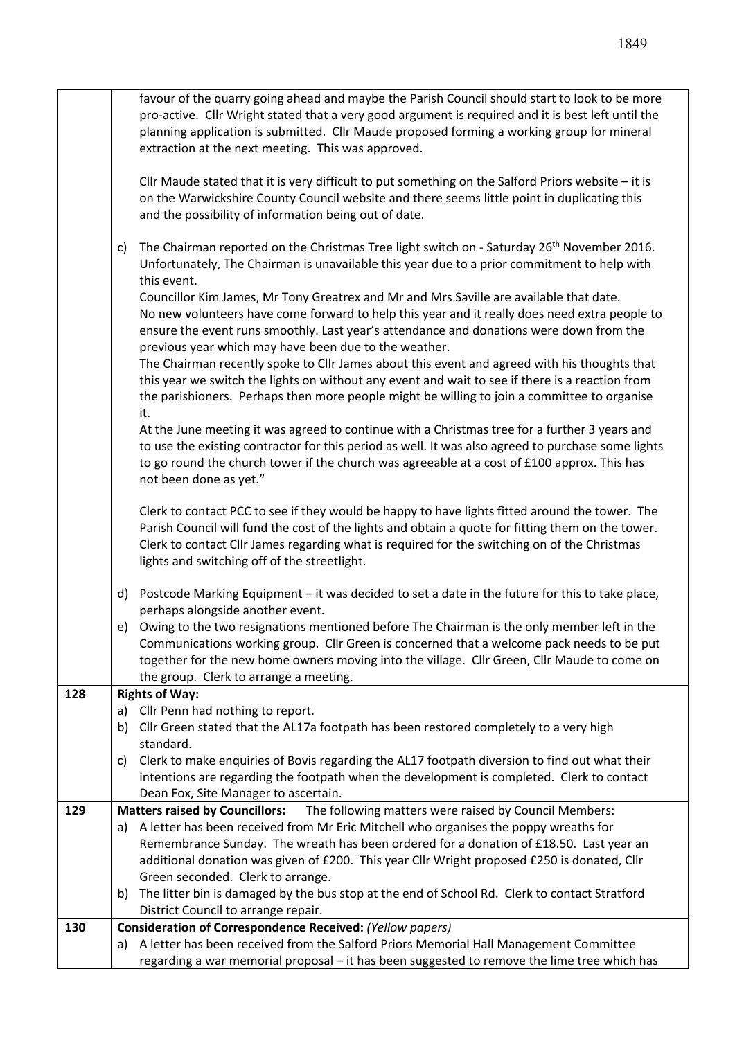|     | favour of the quarry going ahead and maybe the Parish Council should start to look to be more                                                                                                       |  |  |  |  |
|-----|-----------------------------------------------------------------------------------------------------------------------------------------------------------------------------------------------------|--|--|--|--|
|     | pro-active. Cllr Wright stated that a very good argument is required and it is best left until the                                                                                                  |  |  |  |  |
|     | planning application is submitted. Cllr Maude proposed forming a working group for mineral                                                                                                          |  |  |  |  |
|     | extraction at the next meeting. This was approved.                                                                                                                                                  |  |  |  |  |
|     | Cllr Maude stated that it is very difficult to put something on the Salford Priors website - it is                                                                                                  |  |  |  |  |
|     | on the Warwickshire County Council website and there seems little point in duplicating this                                                                                                         |  |  |  |  |
|     | and the possibility of information being out of date.                                                                                                                                               |  |  |  |  |
|     |                                                                                                                                                                                                     |  |  |  |  |
|     | The Chairman reported on the Christmas Tree light switch on - Saturday 26 <sup>th</sup> November 2016.<br>c)                                                                                        |  |  |  |  |
|     | Unfortunately, The Chairman is unavailable this year due to a prior commitment to help with                                                                                                         |  |  |  |  |
|     | this event.                                                                                                                                                                                         |  |  |  |  |
|     | Councillor Kim James, Mr Tony Greatrex and Mr and Mrs Saville are available that date.                                                                                                              |  |  |  |  |
|     | No new volunteers have come forward to help this year and it really does need extra people to                                                                                                       |  |  |  |  |
|     | ensure the event runs smoothly. Last year's attendance and donations were down from the                                                                                                             |  |  |  |  |
|     | previous year which may have been due to the weather.                                                                                                                                               |  |  |  |  |
|     | The Chairman recently spoke to Cllr James about this event and agreed with his thoughts that                                                                                                        |  |  |  |  |
|     | this year we switch the lights on without any event and wait to see if there is a reaction from                                                                                                     |  |  |  |  |
|     | the parishioners. Perhaps then more people might be willing to join a committee to organise                                                                                                         |  |  |  |  |
|     | it.                                                                                                                                                                                                 |  |  |  |  |
|     | At the June meeting it was agreed to continue with a Christmas tree for a further 3 years and<br>to use the existing contractor for this period as well. It was also agreed to purchase some lights |  |  |  |  |
|     | to go round the church tower if the church was agreeable at a cost of £100 approx. This has                                                                                                         |  |  |  |  |
|     | not been done as yet."                                                                                                                                                                              |  |  |  |  |
|     |                                                                                                                                                                                                     |  |  |  |  |
|     | Clerk to contact PCC to see if they would be happy to have lights fitted around the tower. The                                                                                                      |  |  |  |  |
|     | Parish Council will fund the cost of the lights and obtain a quote for fitting them on the tower.                                                                                                   |  |  |  |  |
|     | Clerk to contact Cllr James regarding what is required for the switching on of the Christmas                                                                                                        |  |  |  |  |
|     | lights and switching off of the streetlight.                                                                                                                                                        |  |  |  |  |
|     |                                                                                                                                                                                                     |  |  |  |  |
|     | d) Postcode Marking Equipment - it was decided to set a date in the future for this to take place,                                                                                                  |  |  |  |  |
|     | perhaps alongside another event.                                                                                                                                                                    |  |  |  |  |
|     | Owing to the two resignations mentioned before The Chairman is the only member left in the<br>e)                                                                                                    |  |  |  |  |
|     | Communications working group. Cllr Green is concerned that a welcome pack needs to be put                                                                                                           |  |  |  |  |
|     | together for the new home owners moving into the village. Cllr Green, Cllr Maude to come on<br>the group. Clerk to arrange a meeting.                                                               |  |  |  |  |
| 128 | <b>Rights of Way:</b>                                                                                                                                                                               |  |  |  |  |
|     | a) Cllr Penn had nothing to report.                                                                                                                                                                 |  |  |  |  |
|     | b) Cllr Green stated that the AL17a footpath has been restored completely to a very high                                                                                                            |  |  |  |  |
|     | standard.                                                                                                                                                                                           |  |  |  |  |
|     | Clerk to make enquiries of Bovis regarding the AL17 footpath diversion to find out what their<br>C)                                                                                                 |  |  |  |  |
|     | intentions are regarding the footpath when the development is completed. Clerk to contact                                                                                                           |  |  |  |  |
|     | Dean Fox, Site Manager to ascertain.                                                                                                                                                                |  |  |  |  |
| 129 | The following matters were raised by Council Members:<br><b>Matters raised by Councillors:</b>                                                                                                      |  |  |  |  |
|     | a) A letter has been received from Mr Eric Mitchell who organises the poppy wreaths for                                                                                                             |  |  |  |  |
|     | Remembrance Sunday. The wreath has been ordered for a donation of £18.50. Last year an                                                                                                              |  |  |  |  |
|     | additional donation was given of £200. This year Cllr Wright proposed £250 is donated, Cllr                                                                                                         |  |  |  |  |
|     | Green seconded. Clerk to arrange.                                                                                                                                                                   |  |  |  |  |
|     | The litter bin is damaged by the bus stop at the end of School Rd. Clerk to contact Stratford<br>b)                                                                                                 |  |  |  |  |
|     | District Council to arrange repair.                                                                                                                                                                 |  |  |  |  |
| 130 | Consideration of Correspondence Received: (Yellow papers)                                                                                                                                           |  |  |  |  |
|     | a) A letter has been received from the Salford Priors Memorial Hall Management Committee                                                                                                            |  |  |  |  |

regarding a war memorial proposal – it has been suggested to remove the lime tree which has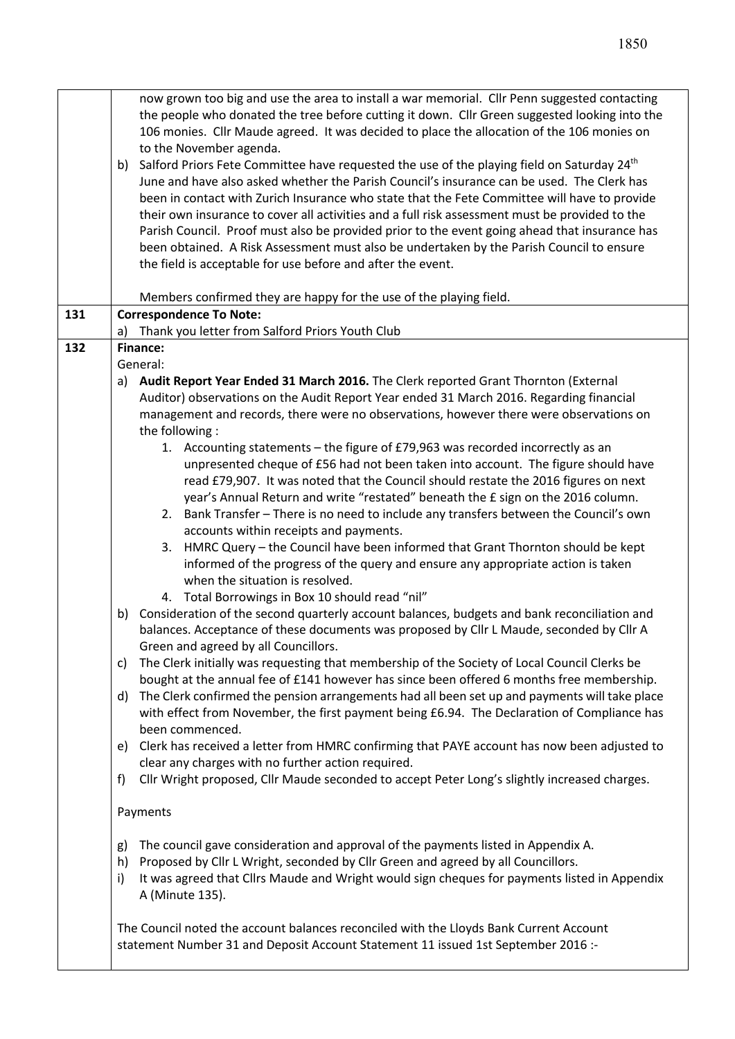|     | now grown too big and use the area to install a war memorial. Cllr Penn suggested contacting<br>the people who donated the tree before cutting it down. Cllr Green suggested looking into the<br>106 monies. Cllr Maude agreed. It was decided to place the allocation of the 106 monies on<br>to the November agenda.<br>b) Salford Priors Fete Committee have requested the use of the playing field on Saturday 24 <sup>th</sup><br>June and have also asked whether the Parish Council's insurance can be used. The Clerk has<br>been in contact with Zurich Insurance who state that the Fete Committee will have to provide<br>their own insurance to cover all activities and a full risk assessment must be provided to the<br>Parish Council. Proof must also be provided prior to the event going ahead that insurance has<br>been obtained. A Risk Assessment must also be undertaken by the Parish Council to ensure<br>the field is acceptable for use before and after the event. |  |  |  |  |
|-----|-------------------------------------------------------------------------------------------------------------------------------------------------------------------------------------------------------------------------------------------------------------------------------------------------------------------------------------------------------------------------------------------------------------------------------------------------------------------------------------------------------------------------------------------------------------------------------------------------------------------------------------------------------------------------------------------------------------------------------------------------------------------------------------------------------------------------------------------------------------------------------------------------------------------------------------------------------------------------------------------------|--|--|--|--|
|     | Members confirmed they are happy for the use of the playing field.                                                                                                                                                                                                                                                                                                                                                                                                                                                                                                                                                                                                                                                                                                                                                                                                                                                                                                                              |  |  |  |  |
| 131 | <b>Correspondence To Note:</b>                                                                                                                                                                                                                                                                                                                                                                                                                                                                                                                                                                                                                                                                                                                                                                                                                                                                                                                                                                  |  |  |  |  |
| 132 | a) Thank you letter from Salford Priors Youth Club<br><b>Finance:</b>                                                                                                                                                                                                                                                                                                                                                                                                                                                                                                                                                                                                                                                                                                                                                                                                                                                                                                                           |  |  |  |  |
|     | General:                                                                                                                                                                                                                                                                                                                                                                                                                                                                                                                                                                                                                                                                                                                                                                                                                                                                                                                                                                                        |  |  |  |  |
|     | a) Audit Report Year Ended 31 March 2016. The Clerk reported Grant Thornton (External                                                                                                                                                                                                                                                                                                                                                                                                                                                                                                                                                                                                                                                                                                                                                                                                                                                                                                           |  |  |  |  |
|     | Auditor) observations on the Audit Report Year ended 31 March 2016. Regarding financial                                                                                                                                                                                                                                                                                                                                                                                                                                                                                                                                                                                                                                                                                                                                                                                                                                                                                                         |  |  |  |  |
|     | management and records, there were no observations, however there were observations on                                                                                                                                                                                                                                                                                                                                                                                                                                                                                                                                                                                                                                                                                                                                                                                                                                                                                                          |  |  |  |  |
|     | the following:                                                                                                                                                                                                                                                                                                                                                                                                                                                                                                                                                                                                                                                                                                                                                                                                                                                                                                                                                                                  |  |  |  |  |
|     | 1. Accounting statements - the figure of £79,963 was recorded incorrectly as an                                                                                                                                                                                                                                                                                                                                                                                                                                                                                                                                                                                                                                                                                                                                                                                                                                                                                                                 |  |  |  |  |
|     | unpresented cheque of £56 had not been taken into account. The figure should have                                                                                                                                                                                                                                                                                                                                                                                                                                                                                                                                                                                                                                                                                                                                                                                                                                                                                                               |  |  |  |  |
|     | read £79,907. It was noted that the Council should restate the 2016 figures on next                                                                                                                                                                                                                                                                                                                                                                                                                                                                                                                                                                                                                                                                                                                                                                                                                                                                                                             |  |  |  |  |
|     | year's Annual Return and write "restated" beneath the £ sign on the 2016 column.                                                                                                                                                                                                                                                                                                                                                                                                                                                                                                                                                                                                                                                                                                                                                                                                                                                                                                                |  |  |  |  |
|     | 2. Bank Transfer - There is no need to include any transfers between the Council's own                                                                                                                                                                                                                                                                                                                                                                                                                                                                                                                                                                                                                                                                                                                                                                                                                                                                                                          |  |  |  |  |
|     | accounts within receipts and payments.                                                                                                                                                                                                                                                                                                                                                                                                                                                                                                                                                                                                                                                                                                                                                                                                                                                                                                                                                          |  |  |  |  |
|     | 3. HMRC Query - the Council have been informed that Grant Thornton should be kept                                                                                                                                                                                                                                                                                                                                                                                                                                                                                                                                                                                                                                                                                                                                                                                                                                                                                                               |  |  |  |  |
|     | informed of the progress of the query and ensure any appropriate action is taken<br>when the situation is resolved.                                                                                                                                                                                                                                                                                                                                                                                                                                                                                                                                                                                                                                                                                                                                                                                                                                                                             |  |  |  |  |
|     | 4. Total Borrowings in Box 10 should read "nil"                                                                                                                                                                                                                                                                                                                                                                                                                                                                                                                                                                                                                                                                                                                                                                                                                                                                                                                                                 |  |  |  |  |
|     | Consideration of the second quarterly account balances, budgets and bank reconciliation and<br>b)                                                                                                                                                                                                                                                                                                                                                                                                                                                                                                                                                                                                                                                                                                                                                                                                                                                                                               |  |  |  |  |
|     | balances. Acceptance of these documents was proposed by Cllr L Maude, seconded by Cllr A<br>Green and agreed by all Councillors.                                                                                                                                                                                                                                                                                                                                                                                                                                                                                                                                                                                                                                                                                                                                                                                                                                                                |  |  |  |  |
|     | The Clerk initially was requesting that membership of the Society of Local Council Clerks be<br>C)                                                                                                                                                                                                                                                                                                                                                                                                                                                                                                                                                                                                                                                                                                                                                                                                                                                                                              |  |  |  |  |
|     | bought at the annual fee of £141 however has since been offered 6 months free membership.                                                                                                                                                                                                                                                                                                                                                                                                                                                                                                                                                                                                                                                                                                                                                                                                                                                                                                       |  |  |  |  |
|     | The Clerk confirmed the pension arrangements had all been set up and payments will take place<br>d)                                                                                                                                                                                                                                                                                                                                                                                                                                                                                                                                                                                                                                                                                                                                                                                                                                                                                             |  |  |  |  |
|     | with effect from November, the first payment being £6.94. The Declaration of Compliance has                                                                                                                                                                                                                                                                                                                                                                                                                                                                                                                                                                                                                                                                                                                                                                                                                                                                                                     |  |  |  |  |
|     | been commenced.                                                                                                                                                                                                                                                                                                                                                                                                                                                                                                                                                                                                                                                                                                                                                                                                                                                                                                                                                                                 |  |  |  |  |
|     | Clerk has received a letter from HMRC confirming that PAYE account has now been adjusted to<br>e)                                                                                                                                                                                                                                                                                                                                                                                                                                                                                                                                                                                                                                                                                                                                                                                                                                                                                               |  |  |  |  |
|     | clear any charges with no further action required.                                                                                                                                                                                                                                                                                                                                                                                                                                                                                                                                                                                                                                                                                                                                                                                                                                                                                                                                              |  |  |  |  |
|     | Cllr Wright proposed, Cllr Maude seconded to accept Peter Long's slightly increased charges.<br>f)                                                                                                                                                                                                                                                                                                                                                                                                                                                                                                                                                                                                                                                                                                                                                                                                                                                                                              |  |  |  |  |
|     | Payments                                                                                                                                                                                                                                                                                                                                                                                                                                                                                                                                                                                                                                                                                                                                                                                                                                                                                                                                                                                        |  |  |  |  |
|     | The council gave consideration and approval of the payments listed in Appendix A.<br>g)                                                                                                                                                                                                                                                                                                                                                                                                                                                                                                                                                                                                                                                                                                                                                                                                                                                                                                         |  |  |  |  |
|     | Proposed by Cllr L Wright, seconded by Cllr Green and agreed by all Councillors.<br>h)                                                                                                                                                                                                                                                                                                                                                                                                                                                                                                                                                                                                                                                                                                                                                                                                                                                                                                          |  |  |  |  |
|     | It was agreed that Cllrs Maude and Wright would sign cheques for payments listed in Appendix<br>i)<br>A (Minute 135).                                                                                                                                                                                                                                                                                                                                                                                                                                                                                                                                                                                                                                                                                                                                                                                                                                                                           |  |  |  |  |
|     | The Council noted the account balances reconciled with the Lloyds Bank Current Account                                                                                                                                                                                                                                                                                                                                                                                                                                                                                                                                                                                                                                                                                                                                                                                                                                                                                                          |  |  |  |  |
|     | statement Number 31 and Deposit Account Statement 11 issued 1st September 2016 :-                                                                                                                                                                                                                                                                                                                                                                                                                                                                                                                                                                                                                                                                                                                                                                                                                                                                                                               |  |  |  |  |
|     |                                                                                                                                                                                                                                                                                                                                                                                                                                                                                                                                                                                                                                                                                                                                                                                                                                                                                                                                                                                                 |  |  |  |  |